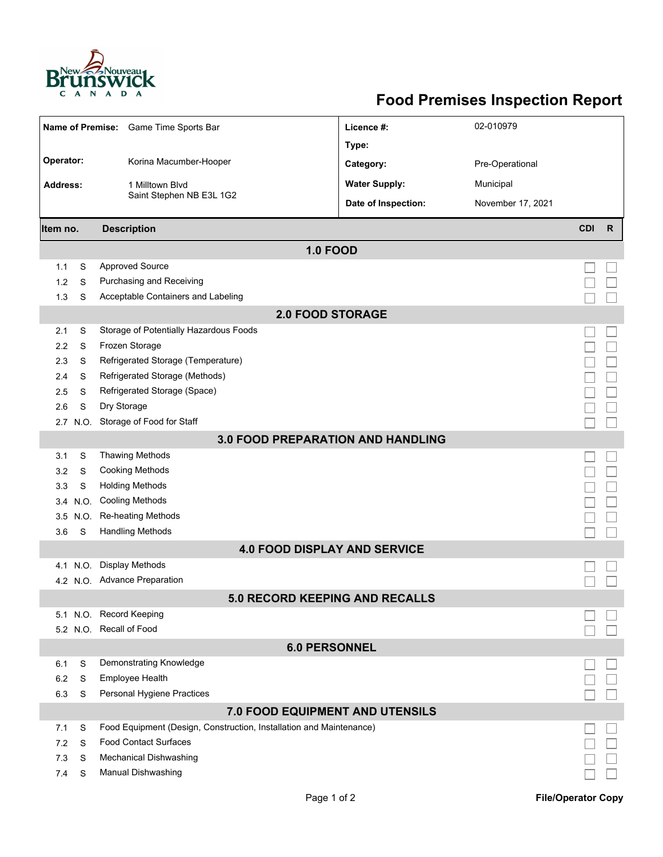

## **Food Premises Inspection Report**

| Name of Premise: Game Time Sports Bar |                         |                                                                     | Licence #:           | 02-010979         |            |              |  |  |  |  |  |  |
|---------------------------------------|-------------------------|---------------------------------------------------------------------|----------------------|-------------------|------------|--------------|--|--|--|--|--|--|
|                                       |                         |                                                                     | Type:                |                   |            |              |  |  |  |  |  |  |
| Operator:                             |                         | Korina Macumber-Hooper                                              | Category:            | Pre-Operational   |            |              |  |  |  |  |  |  |
| <b>Address:</b>                       |                         | 1 Milltown Blvd                                                     | <b>Water Supply:</b> | Municipal         |            |              |  |  |  |  |  |  |
|                                       |                         | Saint Stephen NB E3L 1G2                                            | Date of Inspection:  | November 17, 2021 |            |              |  |  |  |  |  |  |
| Item no.                              |                         | <b>Description</b>                                                  |                      |                   | <b>CDI</b> | $\mathsf{R}$ |  |  |  |  |  |  |
|                                       |                         | <b>1.0 FOOD</b>                                                     |                      |                   |            |              |  |  |  |  |  |  |
| 1.1                                   | S                       | <b>Approved Source</b>                                              |                      |                   |            |              |  |  |  |  |  |  |
| 1.2                                   | S                       | Purchasing and Receiving                                            |                      |                   |            |              |  |  |  |  |  |  |
| 1.3                                   | S                       | Acceptable Containers and Labeling                                  |                      |                   |            |              |  |  |  |  |  |  |
|                                       | <b>2.0 FOOD STORAGE</b> |                                                                     |                      |                   |            |              |  |  |  |  |  |  |
| 2.1                                   | S                       | Storage of Potentially Hazardous Foods                              |                      |                   |            |              |  |  |  |  |  |  |
| 2.2                                   | S                       | Frozen Storage                                                      |                      |                   |            |              |  |  |  |  |  |  |
| 2.3                                   | S                       | Refrigerated Storage (Temperature)                                  |                      |                   |            |              |  |  |  |  |  |  |
| 2.4                                   | S                       | Refrigerated Storage (Methods)                                      |                      |                   |            |              |  |  |  |  |  |  |
| 2.5                                   | S                       | Refrigerated Storage (Space)                                        |                      |                   |            |              |  |  |  |  |  |  |
| 2.6                                   | S                       | Dry Storage                                                         |                      |                   |            |              |  |  |  |  |  |  |
| 2.7                                   | N.O.                    | Storage of Food for Staff                                           |                      |                   |            |              |  |  |  |  |  |  |
|                                       |                         | <b>3.0 FOOD PREPARATION AND HANDLING</b>                            |                      |                   |            |              |  |  |  |  |  |  |
| 3.1                                   | S                       | <b>Thawing Methods</b>                                              |                      |                   |            |              |  |  |  |  |  |  |
| 3.2                                   | S                       | <b>Cooking Methods</b>                                              |                      |                   |            |              |  |  |  |  |  |  |
| 3.3                                   | S                       | <b>Holding Methods</b>                                              |                      |                   |            |              |  |  |  |  |  |  |
| 3.4                                   | N.O.                    | <b>Cooling Methods</b>                                              |                      |                   |            |              |  |  |  |  |  |  |
| 3.5                                   | N.O.                    | Re-heating Methods                                                  |                      |                   |            |              |  |  |  |  |  |  |
| 3.6                                   | S                       | <b>Handling Methods</b>                                             |                      |                   |            |              |  |  |  |  |  |  |
|                                       |                         | <b>4.0 FOOD DISPLAY AND SERVICE</b>                                 |                      |                   |            |              |  |  |  |  |  |  |
| 4.1                                   | N.O.                    | <b>Display Methods</b>                                              |                      |                   |            |              |  |  |  |  |  |  |
|                                       |                         | 4.2 N.O. Advance Preparation                                        |                      |                   |            |              |  |  |  |  |  |  |
|                                       |                         | 5.0 RECORD KEEPING AND RECALLS                                      |                      |                   |            |              |  |  |  |  |  |  |
|                                       |                         | 5.1 N.O. Record Keeping                                             |                      |                   |            |              |  |  |  |  |  |  |
|                                       |                         | 5.2 N.O. Recall of Food                                             |                      |                   |            |              |  |  |  |  |  |  |
|                                       |                         | <b>6.0 PERSONNEL</b>                                                |                      |                   |            |              |  |  |  |  |  |  |
| 6.1                                   | S                       | Demonstrating Knowledge                                             |                      |                   |            |              |  |  |  |  |  |  |
| 6.2                                   | S                       | Employee Health                                                     |                      |                   |            |              |  |  |  |  |  |  |
| 6.3                                   | S                       | Personal Hygiene Practices                                          |                      |                   |            |              |  |  |  |  |  |  |
|                                       |                         | 7.0 FOOD EQUIPMENT AND UTENSILS                                     |                      |                   |            |              |  |  |  |  |  |  |
| 7.1                                   | S                       | Food Equipment (Design, Construction, Installation and Maintenance) |                      |                   |            |              |  |  |  |  |  |  |
| 7.2                                   | S                       | <b>Food Contact Surfaces</b>                                        |                      |                   |            |              |  |  |  |  |  |  |
| 7.3                                   | S                       | <b>Mechanical Dishwashing</b>                                       |                      |                   |            |              |  |  |  |  |  |  |
| 7.4                                   | S                       | <b>Manual Dishwashing</b>                                           |                      |                   |            |              |  |  |  |  |  |  |